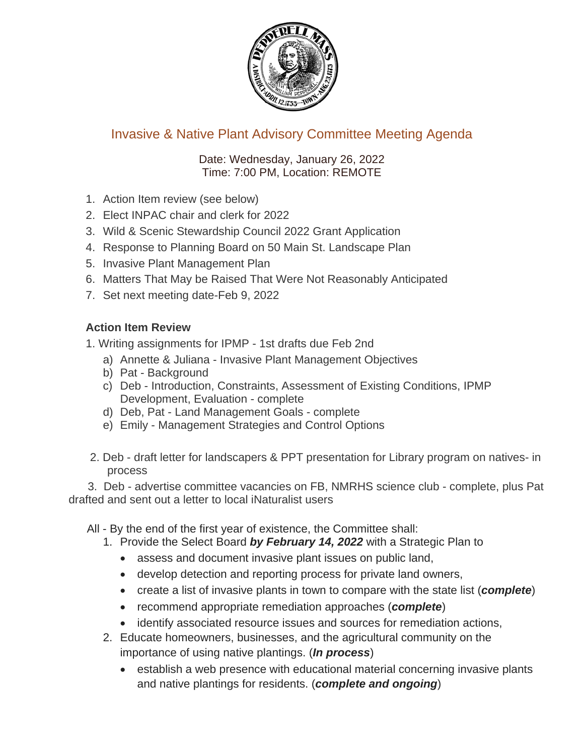

## Invasive & Native Plant Advisory Committee Meeting Agenda

Date: Wednesday, January 26, 2022 Time: 7:00 PM, Location: REMOTE

- 1. Action Item review (see below)
- 2. Elect INPAC chair and clerk for 2022
- 3. Wild & Scenic Stewardship Council 2022 Grant Application
- 4. Response to Planning Board on 50 Main St. Landscape Plan
- 5. Invasive Plant Management Plan
- 6. Matters That May be Raised That Were Not Reasonably Anticipated
- 7. Set next meeting date-Feb 9, 2022

## **Action Item Review**

1. Writing assignments for IPMP - 1st drafts due Feb 2nd

- a) Annette & Juliana Invasive Plant Management Objectives
- b) Pat Background
- c) Deb Introduction, Constraints, Assessment of Existing Conditions, IPMP Development, Evaluation - complete
- d) Deb, Pat Land Management Goals complete
- e) Emily Management Strategies and Control Options
- 2. Deb draft letter for landscapers & PPT presentation for Library program on natives- in process

 3. Deb - advertise committee vacancies on FB, NMRHS science club - complete, plus Pat drafted and sent out a letter to local iNaturalist users

All - By the end of the first year of existence, the Committee shall:

- 1. Provide the Select Board *by February 14, 2022* with a Strategic Plan to
	- assess and document invasive plant issues on public land,
	- develop detection and reporting process for private land owners,
	- create a list of invasive plants in town to compare with the state list (*complete*)
	- recommend appropriate remediation approaches (*complete*)
	- identify associated resource issues and sources for remediation actions,
- 2. Educate homeowners, businesses, and the agricultural community on the importance of using native plantings. (*In process*)
	- establish a web presence with educational material concerning invasive plants and native plantings for residents. (*complete and ongoing*)